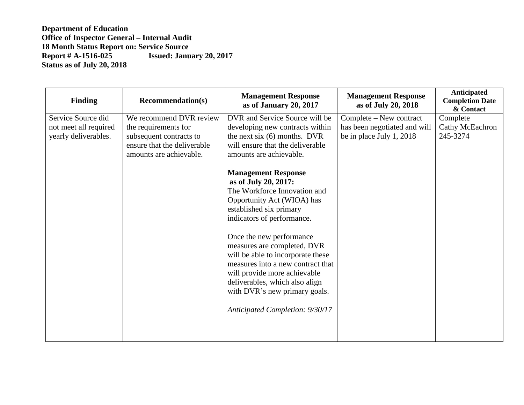| <b>Finding</b>        | <b>Recommendation(s)</b>    | <b>Management Response</b><br>as of January 20, 2017                                                                                                                                                                                                                                                                                                                                                              | <b>Management Response</b><br>as of July 20, 2018 | <b>Anticipated</b><br><b>Completion Date</b><br>& Contact |
|-----------------------|-----------------------------|-------------------------------------------------------------------------------------------------------------------------------------------------------------------------------------------------------------------------------------------------------------------------------------------------------------------------------------------------------------------------------------------------------------------|---------------------------------------------------|-----------------------------------------------------------|
| Service Source did    | We recommend DVR review     | DVR and Service Source will be                                                                                                                                                                                                                                                                                                                                                                                    | Complete – New contract                           | Complete                                                  |
| not meet all required | the requirements for        | developing new contracts within                                                                                                                                                                                                                                                                                                                                                                                   | has been negotiated and will                      | Cathy McEachron                                           |
| yearly deliverables.  | subsequent contracts to     | the next six $(6)$ months. DVR                                                                                                                                                                                                                                                                                                                                                                                    | be in place July 1, 2018                          | 245-3274                                                  |
|                       | ensure that the deliverable | will ensure that the deliverable                                                                                                                                                                                                                                                                                                                                                                                  |                                                   |                                                           |
|                       | amounts are achievable.     | amounts are achievable.                                                                                                                                                                                                                                                                                                                                                                                           |                                                   |                                                           |
|                       |                             | <b>Management Response</b><br>as of July 20, 2017:<br>The Workforce Innovation and<br>Opportunity Act (WIOA) has<br>established six primary<br>indicators of performance.<br>Once the new performance<br>measures are completed, DVR<br>will be able to incorporate these<br>measures into a new contract that<br>will provide more achievable<br>deliverables, which also align<br>with DVR's new primary goals. |                                                   |                                                           |
|                       |                             | Anticipated Completion: 9/30/17                                                                                                                                                                                                                                                                                                                                                                                   |                                                   |                                                           |
|                       |                             |                                                                                                                                                                                                                                                                                                                                                                                                                   |                                                   |                                                           |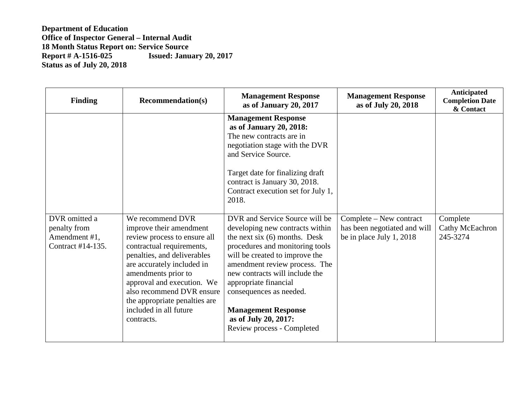| <b>Finding</b>                                                      | <b>Recommendation(s)</b>                                                                                                                                                                                                                                                                                                         | <b>Management Response</b><br>as of January 20, 2017                                                                                                                                                                                                                                                                                                                                 | <b>Management Response</b><br>as of July 20, 2018                                   | Anticipated<br><b>Completion Date</b><br>& Contact |
|---------------------------------------------------------------------|----------------------------------------------------------------------------------------------------------------------------------------------------------------------------------------------------------------------------------------------------------------------------------------------------------------------------------|--------------------------------------------------------------------------------------------------------------------------------------------------------------------------------------------------------------------------------------------------------------------------------------------------------------------------------------------------------------------------------------|-------------------------------------------------------------------------------------|----------------------------------------------------|
|                                                                     |                                                                                                                                                                                                                                                                                                                                  | <b>Management Response</b><br>as of January 20, 2018:<br>The new contracts are in<br>negotiation stage with the DVR<br>and Service Source.<br>Target date for finalizing draft<br>contract is January 30, 2018.<br>Contract execution set for July 1,<br>2018.                                                                                                                       |                                                                                     |                                                    |
| DVR omitted a<br>penalty from<br>Amendment #1,<br>Contract #14-135. | We recommend DVR<br>improve their amendment<br>review process to ensure all<br>contractual requirements,<br>penalties, and deliverables<br>are accurately included in<br>amendments prior to<br>approval and execution. We<br>also recommend DVR ensure<br>the appropriate penalties are<br>included in all future<br>contracts. | DVR and Service Source will be<br>developing new contracts within<br>the next six $(6)$ months. Desk<br>procedures and monitoring tools<br>will be created to improve the<br>amendment review process. The<br>new contracts will include the<br>appropriate financial<br>consequences as needed.<br><b>Management Response</b><br>as of July 20, 2017:<br>Review process - Completed | Complete – New contract<br>has been negotiated and will<br>be in place July 1, 2018 | Complete<br>Cathy McEachron<br>245-3274            |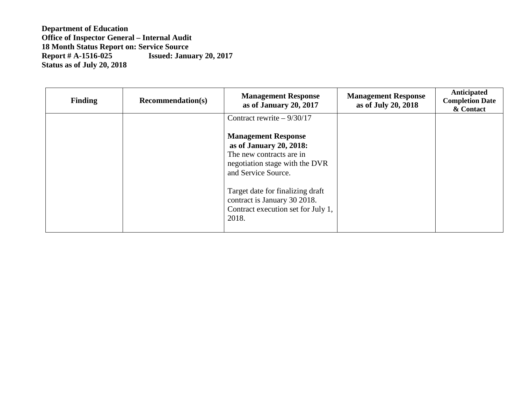| <b>Finding</b> | <b>Recommendation(s)</b> | <b>Management Response</b><br>as of January 20, 2017                                                                                                                      | <b>Management Response</b><br>as of July 20, 2018 | Anticipated<br><b>Completion Date</b><br>& Contact |
|----------------|--------------------------|---------------------------------------------------------------------------------------------------------------------------------------------------------------------------|---------------------------------------------------|----------------------------------------------------|
|                |                          | Contract rewrite $-9/30/17$<br><b>Management Response</b><br>as of January 20, 2018:<br>The new contracts are in<br>negotiation stage with the DVR<br>and Service Source. |                                                   |                                                    |
|                |                          | Target date for finalizing draft<br>contract is January 30 2018.<br>Contract execution set for July 1,<br>2018.                                                           |                                                   |                                                    |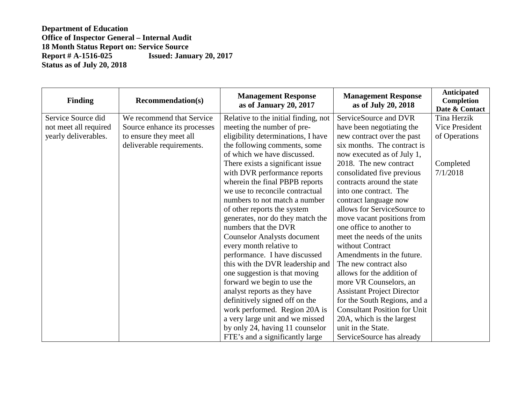| <b>Finding</b>        | <b>Recommendation(s)</b>     | <b>Management Response</b><br>as of January 20, 2017 | <b>Management Response</b><br>as of July 20, 2018 | <b>Anticipated</b><br>Completion<br>Date & Contact |
|-----------------------|------------------------------|------------------------------------------------------|---------------------------------------------------|----------------------------------------------------|
| Service Source did    | We recommend that Service    | Relative to the initial finding, not                 | ServiceSource and DVR                             | Tina Herzik                                        |
| not meet all required | Source enhance its processes | meeting the number of pre-                           | have been negotiating the                         | Vice President                                     |
| yearly deliverables.  | to ensure they meet all      | eligibility determinations, I have                   | new contract over the past                        | of Operations                                      |
|                       | deliverable requirements.    | the following comments, some                         | six months. The contract is                       |                                                    |
|                       |                              | of which we have discussed.                          | now executed as of July 1,                        |                                                    |
|                       |                              | There exists a significant issue                     | 2018. The new contract                            | Completed                                          |
|                       |                              | with DVR performance reports                         | consolidated five previous                        | 7/1/2018                                           |
|                       |                              | wherein the final PBPB reports                       | contracts around the state                        |                                                    |
|                       |                              | we use to reconcile contractual                      | into one contract. The                            |                                                    |
|                       |                              | numbers to not match a number                        | contract language now                             |                                                    |
|                       |                              | of other reports the system                          | allows for ServiceSource to                       |                                                    |
|                       |                              | generates, nor do they match the                     | move vacant positions from                        |                                                    |
|                       |                              | numbers that the DVR                                 | one office to another to                          |                                                    |
|                       |                              | <b>Counselor Analysts document</b>                   | meet the needs of the units                       |                                                    |
|                       |                              | every month relative to                              | without Contract                                  |                                                    |
|                       |                              | performance. I have discussed                        | Amendments in the future.                         |                                                    |
|                       |                              | this with the DVR leadership and                     | The new contract also                             |                                                    |
|                       |                              | one suggestion is that moving                        | allows for the addition of                        |                                                    |
|                       |                              | forward we begin to use the                          | more VR Counselors, an                            |                                                    |
|                       |                              | analyst reports as they have                         | <b>Assistant Project Director</b>                 |                                                    |
|                       |                              | definitively signed off on the                       | for the South Regions, and a                      |                                                    |
|                       |                              | work performed. Region 20A is                        | <b>Consultant Position for Unit</b>               |                                                    |
|                       |                              | a very large unit and we missed                      | 20A, which is the largest                         |                                                    |
|                       |                              | by only 24, having 11 counselor                      | unit in the State.                                |                                                    |
|                       |                              | FTE's and a significantly large                      | ServiceSource has already                         |                                                    |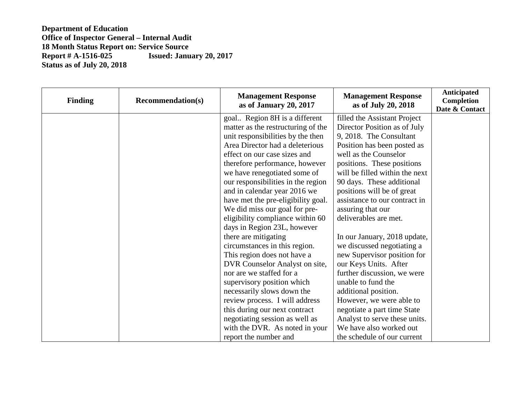| <b>Finding</b> | <b>Recommendation(s)</b> | <b>Management Response</b><br>as of January 20, 2017 | <b>Management Response</b><br>as of July 20, 2018 | <b>Anticipated</b><br>Completion<br>Date & Contact |
|----------------|--------------------------|------------------------------------------------------|---------------------------------------------------|----------------------------------------------------|
|                |                          | goal Region 8H is a different                        | filled the Assistant Project                      |                                                    |
|                |                          | matter as the restructuring of the                   | Director Position as of July                      |                                                    |
|                |                          | unit responsibilities by the then                    | 9, 2018. The Consultant                           |                                                    |
|                |                          | Area Director had a deleterious                      | Position has been posted as                       |                                                    |
|                |                          | effect on our case sizes and                         | well as the Counselor                             |                                                    |
|                |                          | therefore performance, however                       | positions. These positions                        |                                                    |
|                |                          | we have renegotiated some of                         | will be filled within the next                    |                                                    |
|                |                          | our responsibilities in the region                   | 90 days. These additional                         |                                                    |
|                |                          | and in calendar year 2016 we                         | positions will be of great                        |                                                    |
|                |                          | have met the pre-eligibility goal.                   | assistance to our contract in                     |                                                    |
|                |                          | We did miss our goal for pre-                        | assuring that our                                 |                                                    |
|                |                          | eligibility compliance within 60                     | deliverables are met.                             |                                                    |
|                |                          | days in Region 23L, however                          |                                                   |                                                    |
|                |                          | there are mitigating                                 | In our January, 2018 update,                      |                                                    |
|                |                          | circumstances in this region.                        | we discussed negotiating a                        |                                                    |
|                |                          | This region does not have a                          | new Supervisor position for                       |                                                    |
|                |                          | DVR Counselor Analyst on site,                       | our Keys Units. After                             |                                                    |
|                |                          | nor are we staffed for a                             | further discussion, we were                       |                                                    |
|                |                          | supervisory position which                           | unable to fund the                                |                                                    |
|                |                          | necessarily slows down the                           | additional position.                              |                                                    |
|                |                          | review process. I will address                       | However, we were able to                          |                                                    |
|                |                          | this during our next contract                        | negotiate a part time State                       |                                                    |
|                |                          | negotiating session as well as                       | Analyst to serve these units.                     |                                                    |
|                |                          | with the DVR. As noted in your                       | We have also worked out                           |                                                    |
|                |                          | report the number and                                | the schedule of our current                       |                                                    |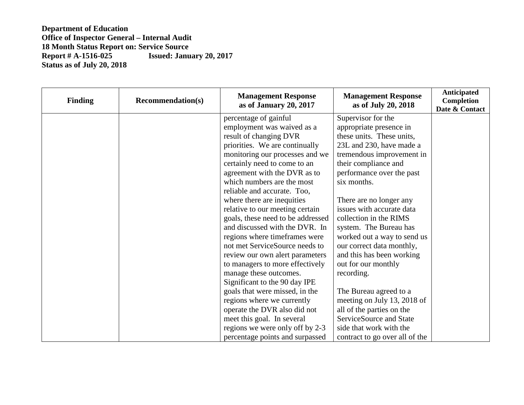| <b>Finding</b> | <b>Recommendation(s)</b> | <b>Management Response</b><br>as of January 20, 2017 | <b>Management Response</b><br>as of July 20, 2018 | <b>Anticipated</b><br>Completion<br>Date & Contact |
|----------------|--------------------------|------------------------------------------------------|---------------------------------------------------|----------------------------------------------------|
|                |                          | percentage of gainful                                | Supervisor for the                                |                                                    |
|                |                          | employment was waived as a                           | appropriate presence in                           |                                                    |
|                |                          | result of changing DVR                               | these units. These units,                         |                                                    |
|                |                          | priorities. We are continually                       | 23L and 230, have made a                          |                                                    |
|                |                          | monitoring our processes and we                      | tremendous improvement in                         |                                                    |
|                |                          | certainly need to come to an                         | their compliance and                              |                                                    |
|                |                          | agreement with the DVR as to                         | performance over the past                         |                                                    |
|                |                          | which numbers are the most                           | six months.                                       |                                                    |
|                |                          | reliable and accurate. Too,                          |                                                   |                                                    |
|                |                          | where there are inequities                           | There are no longer any                           |                                                    |
|                |                          | relative to our meeting certain                      | issues with accurate data                         |                                                    |
|                |                          | goals, these need to be addressed                    | collection in the RIMS                            |                                                    |
|                |                          | and discussed with the DVR. In                       | system. The Bureau has                            |                                                    |
|                |                          | regions where timeframes were                        | worked out a way to send us                       |                                                    |
|                |                          | not met ServiceSource needs to                       | our correct data monthly,                         |                                                    |
|                |                          | review our own alert parameters                      | and this has been working                         |                                                    |
|                |                          | to managers to more effectively                      | out for our monthly                               |                                                    |
|                |                          | manage these outcomes.                               | recording.                                        |                                                    |
|                |                          | Significant to the 90 day IPE                        |                                                   |                                                    |
|                |                          | goals that were missed, in the                       | The Bureau agreed to a                            |                                                    |
|                |                          | regions where we currently                           | meeting on July 13, 2018 of                       |                                                    |
|                |                          | operate the DVR also did not                         | all of the parties on the                         |                                                    |
|                |                          | meet this goal. In several                           | ServiceSource and State                           |                                                    |
|                |                          | regions we were only off by 2-3                      | side that work with the                           |                                                    |
|                |                          | percentage points and surpassed                      | contract to go over all of the                    |                                                    |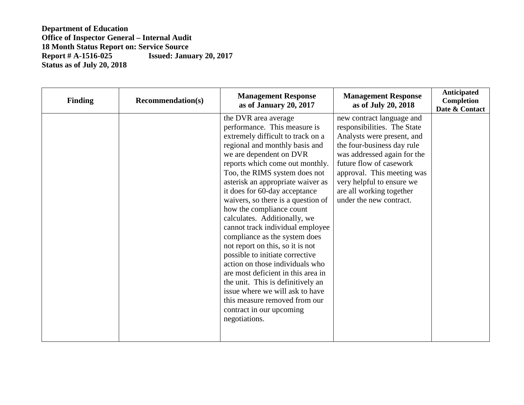| <b>Finding</b> | <b>Recommendation(s)</b> | <b>Management Response</b><br>as of January 20, 2017                                                                                                                                                                                                                                                                                                                                                                                                                                                                                                                                                                                                                                                                                                                          | <b>Management Response</b><br>as of July 20, 2018                                                                                                                                                                                                                                                | <b>Anticipated</b><br>Completion<br>Date & Contact |
|----------------|--------------------------|-------------------------------------------------------------------------------------------------------------------------------------------------------------------------------------------------------------------------------------------------------------------------------------------------------------------------------------------------------------------------------------------------------------------------------------------------------------------------------------------------------------------------------------------------------------------------------------------------------------------------------------------------------------------------------------------------------------------------------------------------------------------------------|--------------------------------------------------------------------------------------------------------------------------------------------------------------------------------------------------------------------------------------------------------------------------------------------------|----------------------------------------------------|
|                |                          | the DVR area average<br>performance. This measure is<br>extremely difficult to track on a<br>regional and monthly basis and<br>we are dependent on DVR<br>reports which come out monthly.<br>Too, the RIMS system does not<br>asterisk an appropriate waiver as<br>it does for 60-day acceptance<br>waivers, so there is a question of<br>how the compliance count<br>calculates. Additionally, we<br>cannot track individual employee<br>compliance as the system does<br>not report on this, so it is not<br>possible to initiate corrective<br>action on those individuals who<br>are most deficient in this area in<br>the unit. This is definitively an<br>issue where we will ask to have<br>this measure removed from our<br>contract in our upcoming<br>negotiations. | new contract language and<br>responsibilities. The State<br>Analysts were present, and<br>the four-business day rule<br>was addressed again for the<br>future flow of casework<br>approval. This meeting was<br>very helpful to ensure we<br>are all working together<br>under the new contract. |                                                    |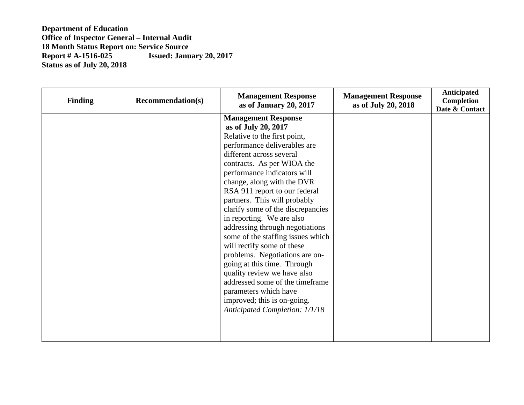| <b>Finding</b> | <b>Recommendation(s)</b> | <b>Management Response</b><br>as of January 20, 2017                                                                                                                                                                                                                                                                                                                                                                                                                                                                                                                                                                                                                                                           | <b>Management Response</b><br>as of July 20, 2018 | Anticipated<br>Completion<br>Date & Contact |
|----------------|--------------------------|----------------------------------------------------------------------------------------------------------------------------------------------------------------------------------------------------------------------------------------------------------------------------------------------------------------------------------------------------------------------------------------------------------------------------------------------------------------------------------------------------------------------------------------------------------------------------------------------------------------------------------------------------------------------------------------------------------------|---------------------------------------------------|---------------------------------------------|
|                |                          | <b>Management Response</b><br>as of July 20, 2017<br>Relative to the first point,<br>performance deliverables are<br>different across several<br>contracts. As per WIOA the<br>performance indicators will<br>change, along with the DVR<br>RSA 911 report to our federal<br>partners. This will probably<br>clarify some of the discrepancies<br>in reporting. We are also<br>addressing through negotiations<br>some of the staffing issues which<br>will rectify some of these<br>problems. Negotiations are on-<br>going at this time. Through<br>quality review we have also<br>addressed some of the timeframe<br>parameters which have<br>improved; this is on-going.<br>Anticipated Completion: 1/1/18 |                                                   |                                             |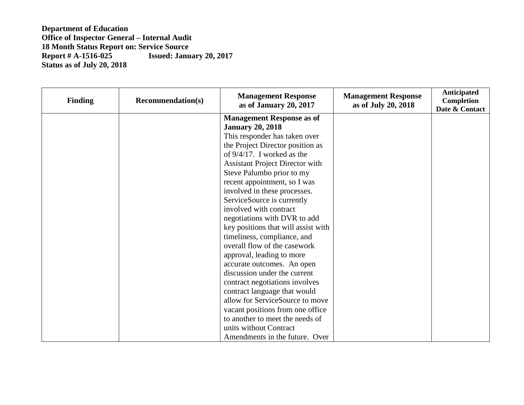| <b>Finding</b> | <b>Recommendation(s)</b> | <b>Management Response</b><br>as of January 20, 2017 | <b>Management Response</b><br>as of July 20, 2018 | Anticipated<br>Completion<br>Date & Contact |
|----------------|--------------------------|------------------------------------------------------|---------------------------------------------------|---------------------------------------------|
|                |                          | <b>Management Response as of</b>                     |                                                   |                                             |
|                |                          | <b>January 20, 2018</b>                              |                                                   |                                             |
|                |                          | This responder has taken over                        |                                                   |                                             |
|                |                          | the Project Director position as                     |                                                   |                                             |
|                |                          | of $9/4/17$ . I worked as the                        |                                                   |                                             |
|                |                          | <b>Assistant Project Director with</b>               |                                                   |                                             |
|                |                          | Steve Palumbo prior to my                            |                                                   |                                             |
|                |                          | recent appointment, so I was                         |                                                   |                                             |
|                |                          | involved in these processes.                         |                                                   |                                             |
|                |                          | ServiceSource is currently                           |                                                   |                                             |
|                |                          | involved with contract                               |                                                   |                                             |
|                |                          | negotiations with DVR to add                         |                                                   |                                             |
|                |                          | key positions that will assist with                  |                                                   |                                             |
|                |                          | timeliness, compliance, and                          |                                                   |                                             |
|                |                          | overall flow of the casework                         |                                                   |                                             |
|                |                          | approval, leading to more                            |                                                   |                                             |
|                |                          | accurate outcomes. An open                           |                                                   |                                             |
|                |                          | discussion under the current                         |                                                   |                                             |
|                |                          | contract negotiations involves                       |                                                   |                                             |
|                |                          | contract language that would                         |                                                   |                                             |
|                |                          | allow for ServiceSource to move                      |                                                   |                                             |
|                |                          | vacant positions from one office                     |                                                   |                                             |
|                |                          | to another to meet the needs of                      |                                                   |                                             |
|                |                          | units without Contract                               |                                                   |                                             |
|                |                          | Amendments in the future. Over                       |                                                   |                                             |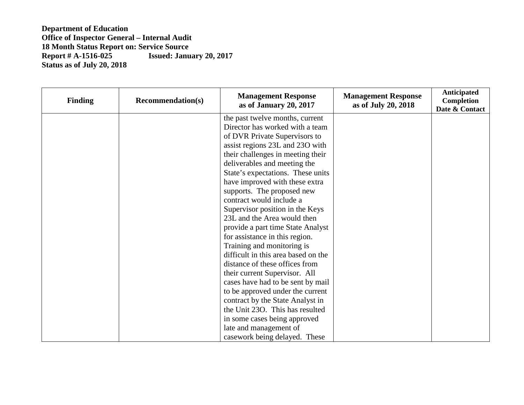| <b>Finding</b> | <b>Recommendation(s)</b> | <b>Management Response</b><br>as of January 20, 2017 | <b>Management Response</b><br>as of July 20, 2018 | <b>Anticipated</b><br>Completion<br>Date & Contact |
|----------------|--------------------------|------------------------------------------------------|---------------------------------------------------|----------------------------------------------------|
|                |                          | the past twelve months, current                      |                                                   |                                                    |
|                |                          | Director has worked with a team                      |                                                   |                                                    |
|                |                          | of DVR Private Supervisors to                        |                                                   |                                                    |
|                |                          | assist regions 23L and 23O with                      |                                                   |                                                    |
|                |                          | their challenges in meeting their                    |                                                   |                                                    |
|                |                          | deliverables and meeting the                         |                                                   |                                                    |
|                |                          | State's expectations. These units                    |                                                   |                                                    |
|                |                          | have improved with these extra                       |                                                   |                                                    |
|                |                          | supports. The proposed new                           |                                                   |                                                    |
|                |                          | contract would include a                             |                                                   |                                                    |
|                |                          | Supervisor position in the Keys                      |                                                   |                                                    |
|                |                          | 23L and the Area would then                          |                                                   |                                                    |
|                |                          | provide a part time State Analyst                    |                                                   |                                                    |
|                |                          | for assistance in this region.                       |                                                   |                                                    |
|                |                          | Training and monitoring is                           |                                                   |                                                    |
|                |                          | difficult in this area based on the                  |                                                   |                                                    |
|                |                          | distance of these offices from                       |                                                   |                                                    |
|                |                          | their current Supervisor. All                        |                                                   |                                                    |
|                |                          | cases have had to be sent by mail                    |                                                   |                                                    |
|                |                          | to be approved under the current                     |                                                   |                                                    |
|                |                          | contract by the State Analyst in                     |                                                   |                                                    |
|                |                          | the Unit 230. This has resulted                      |                                                   |                                                    |
|                |                          | in some cases being approved                         |                                                   |                                                    |
|                |                          | late and management of                               |                                                   |                                                    |
|                |                          | casework being delayed. These                        |                                                   |                                                    |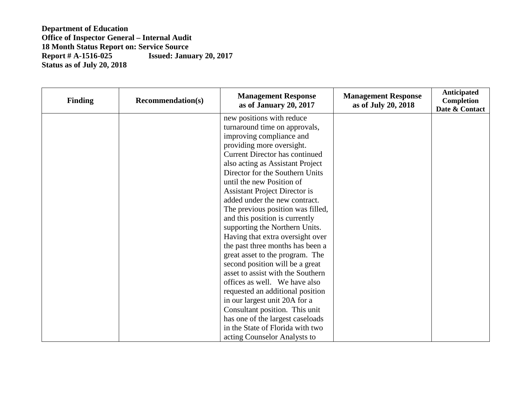| <b>Finding</b> | <b>Recommendation(s)</b> | <b>Management Response</b><br>as of January 20, 2017 | <b>Management Response</b><br>as of July 20, 2018 | <b>Anticipated</b><br>Completion<br>Date & Contact |
|----------------|--------------------------|------------------------------------------------------|---------------------------------------------------|----------------------------------------------------|
|                |                          | new positions with reduce                            |                                                   |                                                    |
|                |                          | turnaround time on approvals,                        |                                                   |                                                    |
|                |                          | improving compliance and                             |                                                   |                                                    |
|                |                          | providing more oversight.                            |                                                   |                                                    |
|                |                          | <b>Current Director has continued</b>                |                                                   |                                                    |
|                |                          | also acting as Assistant Project                     |                                                   |                                                    |
|                |                          | Director for the Southern Units                      |                                                   |                                                    |
|                |                          | until the new Position of                            |                                                   |                                                    |
|                |                          | <b>Assistant Project Director is</b>                 |                                                   |                                                    |
|                |                          | added under the new contract.                        |                                                   |                                                    |
|                |                          | The previous position was filled,                    |                                                   |                                                    |
|                |                          | and this position is currently                       |                                                   |                                                    |
|                |                          | supporting the Northern Units.                       |                                                   |                                                    |
|                |                          | Having that extra oversight over                     |                                                   |                                                    |
|                |                          | the past three months has been a                     |                                                   |                                                    |
|                |                          | great asset to the program. The                      |                                                   |                                                    |
|                |                          | second position will be a great                      |                                                   |                                                    |
|                |                          | asset to assist with the Southern                    |                                                   |                                                    |
|                |                          | offices as well. We have also                        |                                                   |                                                    |
|                |                          | requested an additional position                     |                                                   |                                                    |
|                |                          | in our largest unit 20A for a                        |                                                   |                                                    |
|                |                          | Consultant position. This unit                       |                                                   |                                                    |
|                |                          | has one of the largest caseloads                     |                                                   |                                                    |
|                |                          | in the State of Florida with two                     |                                                   |                                                    |
|                |                          | acting Counselor Analysts to                         |                                                   |                                                    |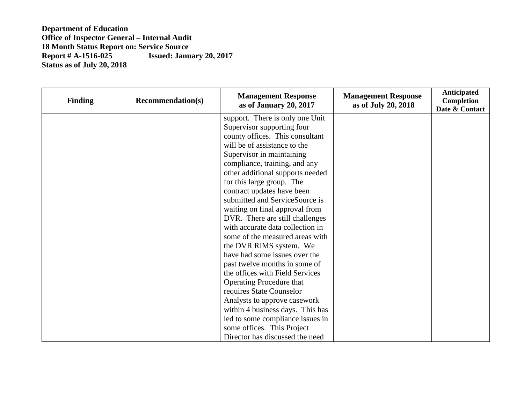| <b>Finding</b> | <b>Recommendation(s)</b> | <b>Management Response</b><br>as of January 20, 2017 | <b>Management Response</b><br>as of July 20, 2018 | Anticipated<br>Completion<br>Date & Contact |
|----------------|--------------------------|------------------------------------------------------|---------------------------------------------------|---------------------------------------------|
|                |                          | support. There is only one Unit                      |                                                   |                                             |
|                |                          | Supervisor supporting four                           |                                                   |                                             |
|                |                          | county offices. This consultant                      |                                                   |                                             |
|                |                          | will be of assistance to the                         |                                                   |                                             |
|                |                          | Supervisor in maintaining                            |                                                   |                                             |
|                |                          | compliance, training, and any                        |                                                   |                                             |
|                |                          | other additional supports needed                     |                                                   |                                             |
|                |                          | for this large group. The                            |                                                   |                                             |
|                |                          | contract updates have been                           |                                                   |                                             |
|                |                          | submitted and ServiceSource is                       |                                                   |                                             |
|                |                          | waiting on final approval from                       |                                                   |                                             |
|                |                          | DVR. There are still challenges                      |                                                   |                                             |
|                |                          | with accurate data collection in                     |                                                   |                                             |
|                |                          | some of the measured areas with                      |                                                   |                                             |
|                |                          | the DVR RIMS system. We                              |                                                   |                                             |
|                |                          | have had some issues over the                        |                                                   |                                             |
|                |                          | past twelve months in some of                        |                                                   |                                             |
|                |                          | the offices with Field Services                      |                                                   |                                             |
|                |                          | <b>Operating Procedure that</b>                      |                                                   |                                             |
|                |                          | requires State Counselor                             |                                                   |                                             |
|                |                          | Analysts to approve casework                         |                                                   |                                             |
|                |                          | within 4 business days. This has                     |                                                   |                                             |
|                |                          | led to some compliance issues in                     |                                                   |                                             |
|                |                          | some offices. This Project                           |                                                   |                                             |
|                |                          | Director has discussed the need                      |                                                   |                                             |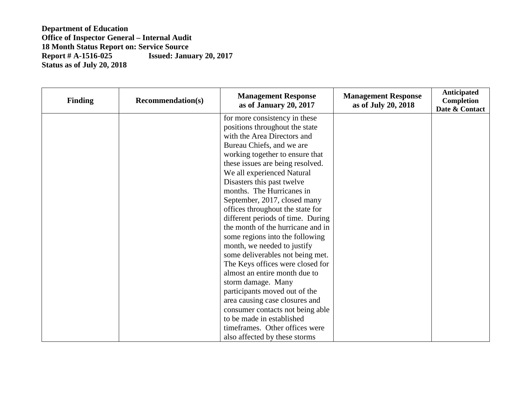| <b>Finding</b> | <b>Recommendation(s)</b> | <b>Management Response</b><br>as of January 20, 2017 | <b>Management Response</b><br>as of July 20, 2018 | <b>Anticipated</b><br>Completion<br>Date & Contact |
|----------------|--------------------------|------------------------------------------------------|---------------------------------------------------|----------------------------------------------------|
|                |                          | for more consistency in these                        |                                                   |                                                    |
|                |                          | positions throughout the state                       |                                                   |                                                    |
|                |                          | with the Area Directors and                          |                                                   |                                                    |
|                |                          | Bureau Chiefs, and we are                            |                                                   |                                                    |
|                |                          | working together to ensure that                      |                                                   |                                                    |
|                |                          | these issues are being resolved.                     |                                                   |                                                    |
|                |                          | We all experienced Natural                           |                                                   |                                                    |
|                |                          | Disasters this past twelve                           |                                                   |                                                    |
|                |                          | months. The Hurricanes in                            |                                                   |                                                    |
|                |                          | September, 2017, closed many                         |                                                   |                                                    |
|                |                          | offices throughout the state for                     |                                                   |                                                    |
|                |                          | different periods of time. During                    |                                                   |                                                    |
|                |                          | the month of the hurricane and in                    |                                                   |                                                    |
|                |                          | some regions into the following                      |                                                   |                                                    |
|                |                          | month, we needed to justify                          |                                                   |                                                    |
|                |                          | some deliverables not being met.                     |                                                   |                                                    |
|                |                          | The Keys offices were closed for                     |                                                   |                                                    |
|                |                          | almost an entire month due to                        |                                                   |                                                    |
|                |                          | storm damage. Many                                   |                                                   |                                                    |
|                |                          | participants moved out of the                        |                                                   |                                                    |
|                |                          | area causing case closures and                       |                                                   |                                                    |
|                |                          | consumer contacts not being able                     |                                                   |                                                    |
|                |                          | to be made in established                            |                                                   |                                                    |
|                |                          | timeframes. Other offices were                       |                                                   |                                                    |
|                |                          | also affected by these storms                        |                                                   |                                                    |